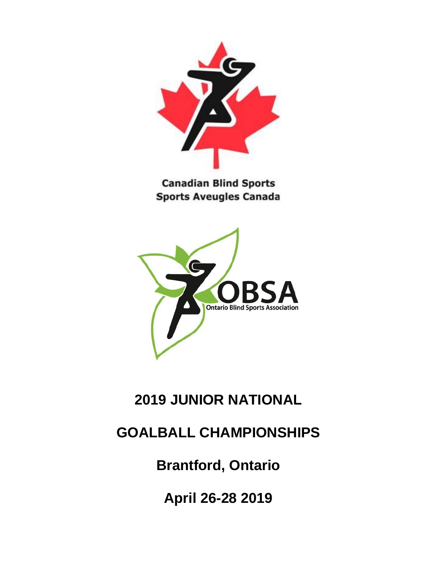

**Canadian Blind Sports Sports Aveugles Canada** 



# **2019 JUNIOR NATIONAL**

## **GOALBALL CHAMPIONSHIPS**

**Brantford, Ontario**

**April 26-28 2019**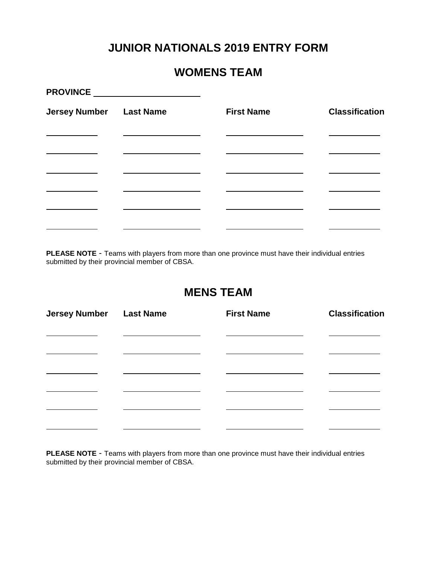#### **JUNIOR NATIONALS 2019 ENTRY FORM**

#### **WOMENS TEAM**

| <b>Jersey Number</b> | <b>Last Name</b> | <b>First Name</b> | <b>Classification</b> |
|----------------------|------------------|-------------------|-----------------------|
|                      |                  |                   |                       |
|                      |                  |                   |                       |
|                      |                  |                   |                       |
|                      |                  |                   |                       |
|                      |                  |                   |                       |

**PLEASE NOTE** - Teams with players from more than one province must have their individual entries submitted by their provincial member of CBSA.

#### **MENS TEAM**

| <b>Jersey Number Last Name</b> | <b>First Name</b> | <b>Classification</b> |
|--------------------------------|-------------------|-----------------------|
|                                |                   |                       |
|                                |                   |                       |
|                                |                   |                       |
|                                |                   |                       |
|                                |                   |                       |

**PLEASE NOTE** - Teams with players from more than one province must have their individual entries submitted by their provincial member of CBSA.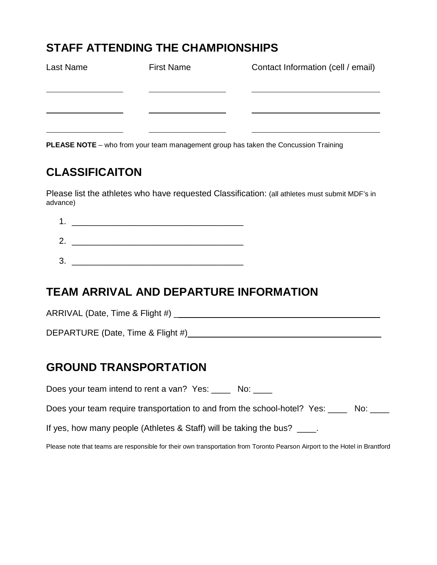#### **STAFF ATTENDING THE CHAMPIONSHIPS**

| Last Name | <b>First Name</b> | Contact Information (cell / email) |
|-----------|-------------------|------------------------------------|
|           |                   |                                    |
|           |                   |                                    |
|           |                   |                                    |

**PLEASE NOTE** – who from your team management group has taken the Concussion Training

## **CLASSIFICAITON**

Please list the athletes who have requested Classification: (all athletes must submit MDF's in advance)

1. \_\_\_\_\_\_\_\_\_\_\_\_\_\_\_\_\_\_\_\_\_\_\_\_\_\_\_\_\_\_\_\_\_\_\_\_ 2. \_\_\_\_\_\_\_\_\_\_\_\_\_\_\_\_\_\_\_\_\_\_\_\_\_\_\_\_\_\_\_\_\_\_\_\_

 $3.$ 

### **TEAM ARRIVAL AND DEPARTURE INFORMATION**

ARRIVAL (Date, Time & Flight #) \_

DEPARTURE (Date, Time & Flight #) \_\_\_\_\_\_\_\_\_\_\_

## **GROUND TRANSPORTATION**

Does your team intend to rent a van? Yes: No:

Does your team require transportation to and from the school-hotel? Yes: No:

If yes, how many people (Athletes & Staff) will be taking the bus?

Please note that teams are responsible for their own transportation from Toronto Pearson Airport to the Hotel in Brantford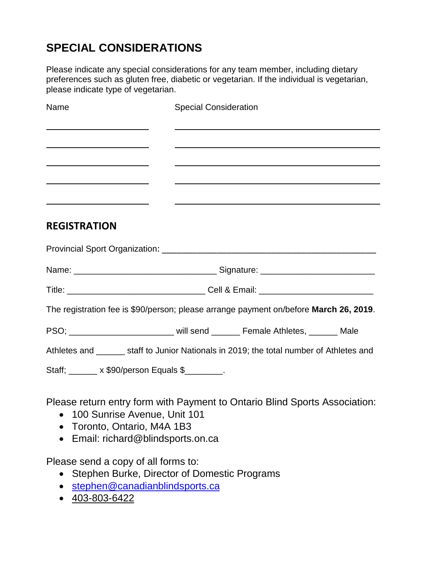## **SPECIAL CONSIDERATIONS**

Please indicate any special considerations for any team member, including dietary preferences such as gluten free, diabetic or vegetarian. If the individual is vegetarian, please indicate type of vegetarian.

| Name                                                                         | <b>Special Consideration</b>                                                                                     |  |  |
|------------------------------------------------------------------------------|------------------------------------------------------------------------------------------------------------------|--|--|
| <u> 1989 - Johann Barn, mars et al. (b. 1989)</u>                            |                                                                                                                  |  |  |
| <u> 1989 - Johann Barnett, fransk politiker (d. 1989)</u>                    |                                                                                                                  |  |  |
|                                                                              | and the control of the control of the control of the control of the control of the control of the control of the |  |  |
| <u> 1980 - Johann Barbara, martxa alemaniar amerikan personal (h. 1980).</u> |                                                                                                                  |  |  |
| <b>REGISTRATION</b>                                                          |                                                                                                                  |  |  |
|                                                                              |                                                                                                                  |  |  |
|                                                                              |                                                                                                                  |  |  |
|                                                                              |                                                                                                                  |  |  |
|                                                                              | The registration fee is \$90/person; please arrange payment on/before March 26, 2019.                            |  |  |
|                                                                              | PSO; ___________________________ will send _______ Female Athletes, ______ Male                                  |  |  |
|                                                                              | Athletes and ______ staff to Junior Nationals in 2019; the total number of Athletes and                          |  |  |
| Staff; x \$90/person Equals \$                                               |                                                                                                                  |  |  |
|                                                                              |                                                                                                                  |  |  |

Please return entry form with Payment to Ontario Blind Sports Association:

- 100 Sunrise Avenue, Unit 101
- Toronto, Ontario, M4A 1B3
- Email: richard@blindsports.on.ca

Please send a copy of all forms to:

- Stephen Burke, Director of Domestic Programs
- [stephen@canadianblindsports.ca](mailto:stephen@canadianblindsports.ca)
- 403-803-6422